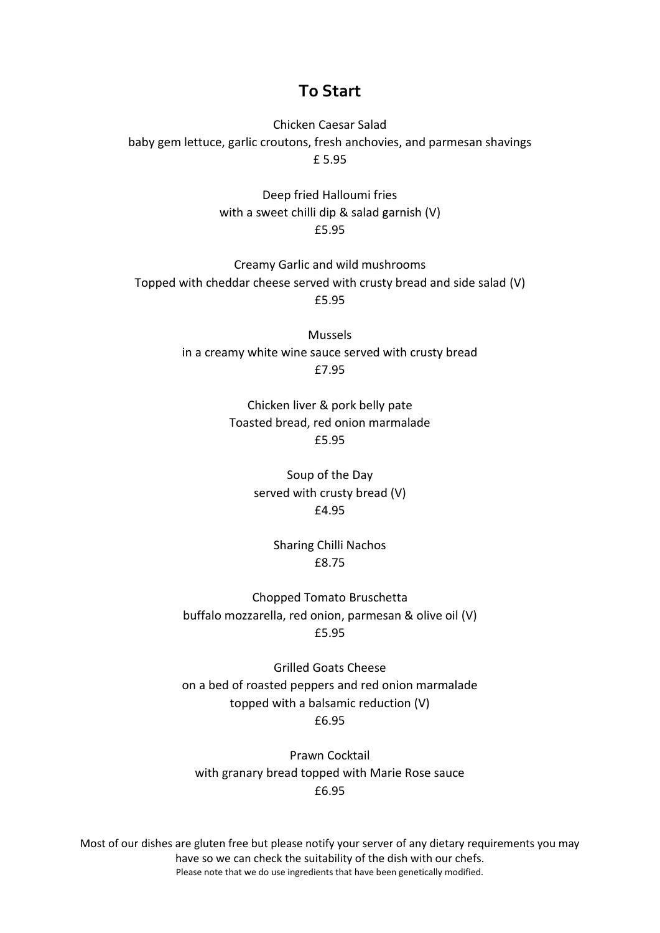### **To Start**

Chicken Caesar Salad baby gem lettuce, garlic croutons, fresh anchovies, and parmesan shavings £ 5.95

> Deep fried Halloumi fries with a sweet chilli dip & salad garnish (V) £5.95

Creamy Garlic and wild mushrooms Topped with cheddar cheese served with crusty bread and side salad (V) £5.95

> Mussels in a creamy white wine sauce served with crusty bread £7.95

> > Chicken liver & pork belly pate Toasted bread, red onion marmalade £5.95

> > > Soup of the Day served with crusty bread (V) £4.95

> > > > Sharing Chilli Nachos £8.75

Chopped Tomato Bruschetta buffalo mozzarella, red onion, parmesan & olive oil (V) £5.95

Grilled Goats Cheese on a bed of roasted peppers and red onion marmalade topped with a balsamic reduction (V) £6.95

Prawn Cocktail with granary bread topped with Marie Rose sauce £6.95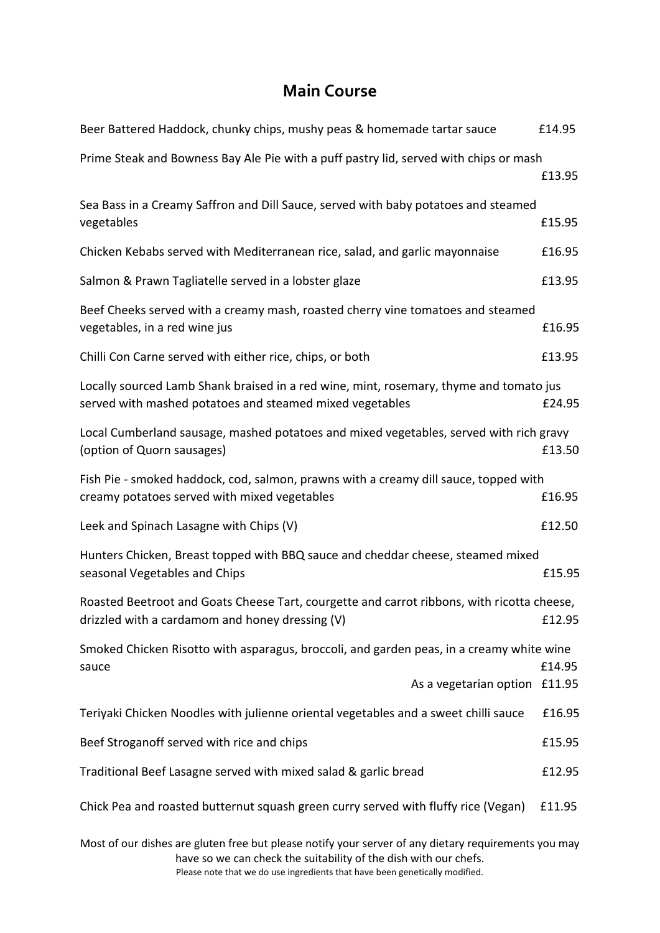# **Main Course**

| Beer Battered Haddock, chunky chips, mushy peas & homemade tartar sauce                                                                            | £14.95           |
|----------------------------------------------------------------------------------------------------------------------------------------------------|------------------|
| Prime Steak and Bowness Bay Ale Pie with a puff pastry lid, served with chips or mash                                                              | £13.95           |
| Sea Bass in a Creamy Saffron and Dill Sauce, served with baby potatoes and steamed<br>vegetables                                                   | £15.95           |
| Chicken Kebabs served with Mediterranean rice, salad, and garlic mayonnaise                                                                        | £16.95           |
| Salmon & Prawn Tagliatelle served in a lobster glaze                                                                                               | £13.95           |
| Beef Cheeks served with a creamy mash, roasted cherry vine tomatoes and steamed<br>vegetables, in a red wine jus                                   | £16.95           |
| Chilli Con Carne served with either rice, chips, or both                                                                                           | £13.95           |
| Locally sourced Lamb Shank braised in a red wine, mint, rosemary, thyme and tomato jus<br>served with mashed potatoes and steamed mixed vegetables | £24.95           |
| Local Cumberland sausage, mashed potatoes and mixed vegetables, served with rich gravy<br>(option of Quorn sausages)                               | £13.50           |
| Fish Pie - smoked haddock, cod, salmon, prawns with a creamy dill sauce, topped with<br>creamy potatoes served with mixed vegetables               | £16.95           |
| Leek and Spinach Lasagne with Chips (V)                                                                                                            | £12.50           |
| Hunters Chicken, Breast topped with BBQ sauce and cheddar cheese, steamed mixed<br>seasonal Vegetables and Chips                                   | £15.95           |
| Roasted Beetroot and Goats Cheese Tart, courgette and carrot ribbons, with ricotta cheese,<br>drizzled with a cardamom and honey dressing (V)      | £12.95           |
| Smoked Chicken Risotto with asparagus, broccoli, and garden peas, in a creamy white wine                                                           |                  |
| sauce<br>As a vegetarian option                                                                                                                    | £14.95<br>£11.95 |
| Teriyaki Chicken Noodles with julienne oriental vegetables and a sweet chilli sauce                                                                | £16.95           |
| Beef Stroganoff served with rice and chips                                                                                                         | £15.95           |
| Traditional Beef Lasagne served with mixed salad & garlic bread                                                                                    | £12.95           |
| Chick Pea and roasted butternut squash green curry served with fluffy rice (Vegan)                                                                 | £11.95           |

Most of our dishes are gluten free but please notify your server of any dietary requirements you may have so we can check the suitability of the dish with our chefs.

Please note that we do use ingredients that have been genetically modified.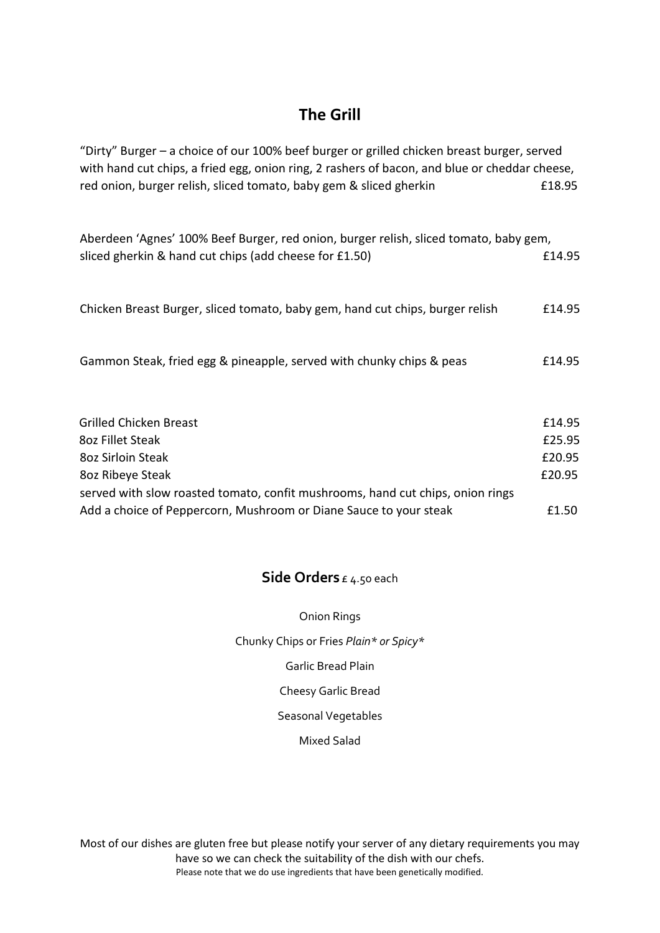### **The Grill**

| "Dirty" Burger – a choice of our 100% beef burger or grilled chicken breast burger, served<br>with hand cut chips, a fried egg, onion ring, 2 rashers of bacon, and blue or cheddar cheese, |        |  |
|---------------------------------------------------------------------------------------------------------------------------------------------------------------------------------------------|--------|--|
| red onion, burger relish, sliced tomato, baby gem & sliced gherkin                                                                                                                          | £18.95 |  |
|                                                                                                                                                                                             |        |  |
| Aberdeen 'Agnes' 100% Beef Burger, red onion, burger relish, sliced tomato, baby gem,                                                                                                       |        |  |
| sliced gherkin & hand cut chips (add cheese for £1.50)                                                                                                                                      | £14.95 |  |
|                                                                                                                                                                                             |        |  |
| Chicken Breast Burger, sliced tomato, baby gem, hand cut chips, burger relish                                                                                                               | £14.95 |  |
|                                                                                                                                                                                             |        |  |
| Gammon Steak, fried egg & pineapple, served with chunky chips & peas                                                                                                                        | £14.95 |  |
|                                                                                                                                                                                             |        |  |
|                                                                                                                                                                                             |        |  |
| <b>Grilled Chicken Breast</b>                                                                                                                                                               | £14.95 |  |
| 8oz Fillet Steak                                                                                                                                                                            | £25.95 |  |
| 8oz Sirloin Steak                                                                                                                                                                           | £20.95 |  |
| 80z Ribeye Steak                                                                                                                                                                            | £20.95 |  |
| served with slow roasted tomato, confit mushrooms, hand cut chips, onion rings                                                                                                              |        |  |
| Add a choice of Peppercorn, Mushroom or Diane Sauce to your steak                                                                                                                           | £1.50  |  |

### **Side Orders** £ 4.50 each

| <b>Onion Rings</b>                     |
|----------------------------------------|
| Chunky Chips or Fries Plain* or Spicy* |
| Garlic Bread Plain                     |
| <b>Cheesy Garlic Bread</b>             |
| Seasonal Vegetables                    |
| Mixed Salad                            |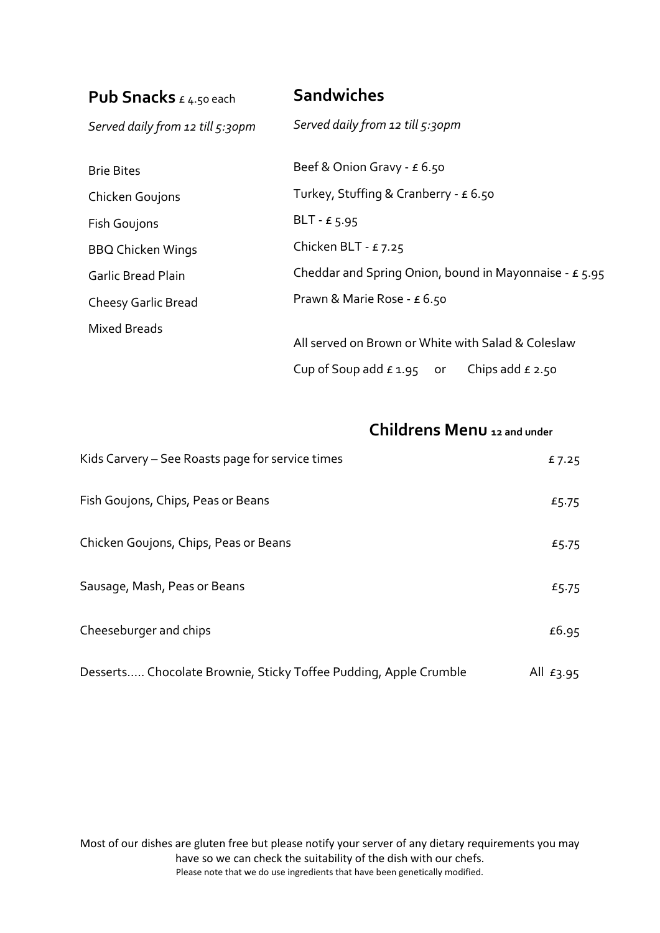| <b>Pub Snacks</b> $\epsilon$ 4.50 each | <b>Sandwiches</b>                                        |  |  |
|----------------------------------------|----------------------------------------------------------|--|--|
| Served daily from 12 till $5:30$ pm    | Served daily from 12 till 5:30pm                         |  |  |
| <b>Brie Bites</b>                      | Beef & Onion Gravy - $\epsilon$ 6.50                     |  |  |
| Chicken Goujons                        | Turkey, Stuffing & Cranberry - $\epsilon$ 6.50           |  |  |
| <b>Fish Goujons</b>                    | BLT - $E$ 5.95                                           |  |  |
| <b>BBQ Chicken Wings</b>               | Chicken BLT - $£7.25$                                    |  |  |
| <b>Garlic Bread Plain</b>              | Cheddar and Spring Onion, bound in Mayonnaise - $E$ 5.95 |  |  |
| <b>Cheesy Garlic Bread</b>             | Prawn & Marie Rose - £ 6.50                              |  |  |
| Mixed Breads                           |                                                          |  |  |
|                                        | All served on Brown or White with Salad & Coleslaw       |  |  |
|                                        | Cup of Soup add $\epsilon$ 1.95 or<br>Chips add $f$ 2.50 |  |  |

# **Childrens Menu 12 and under**

| Kids Carvery - See Roasts page for service times                 | £7.25        |
|------------------------------------------------------------------|--------------|
| Fish Goujons, Chips, Peas or Beans                               | £5.75        |
| Chicken Goujons, Chips, Peas or Beans                            | £5.75        |
| Sausage, Mash, Peas or Beans                                     | £5.75        |
| Cheeseburger and chips                                           | £6.95        |
| Desserts Chocolate Brownie, Sticky Toffee Pudding, Apple Crumble | All $E_3.95$ |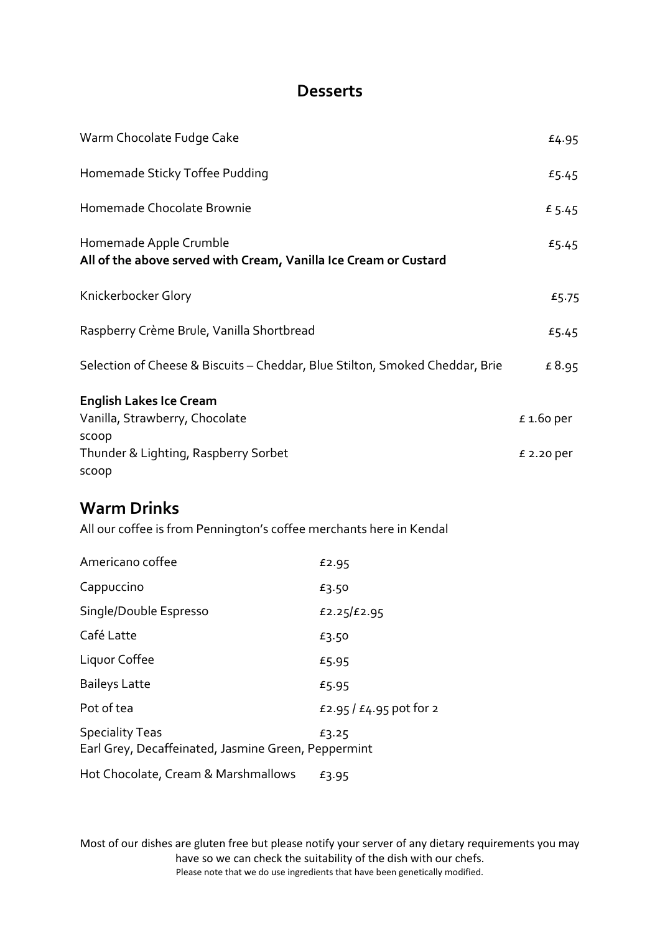## **Desserts**

| Warm Chocolate Fudge Cake                                                                                                  |                         | £4.95                      |
|----------------------------------------------------------------------------------------------------------------------------|-------------------------|----------------------------|
| Homemade Sticky Toffee Pudding                                                                                             |                         | £5.45                      |
| Homemade Chocolate Brownie                                                                                                 |                         | £ 5.45                     |
| Homemade Apple Crumble<br>All of the above served with Cream, Vanilla Ice Cream or Custard                                 |                         | £5.45                      |
| Knickerbocker Glory                                                                                                        |                         | £5.75                      |
| Raspberry Crème Brule, Vanilla Shortbread                                                                                  |                         | £5.45                      |
| Selection of Cheese & Biscuits - Cheddar, Blue Stilton, Smoked Cheddar, Brie                                               |                         |                            |
| <b>English Lakes Ice Cream</b><br>Vanilla, Strawberry, Chocolate<br>scoop<br>Thunder & Lighting, Raspberry Sorbet<br>scoop |                         | $£ 1.60$ per<br>£ 2.20 per |
| <b>Warm Drinks</b><br>All our coffee is from Pennington's coffee merchants here in Kendal                                  |                         |                            |
| Americano coffee                                                                                                           | £2.95                   |                            |
| Cappuccino                                                                                                                 | £3.50                   |                            |
| Single/Double Espresso                                                                                                     | £2.25/£2.95             |                            |
| Café Latte                                                                                                                 | £3.50                   |                            |
| Liquor Coffee                                                                                                              | £5.95                   |                            |
| <b>Baileys Latte</b>                                                                                                       | £5.95                   |                            |
| Pot of tea                                                                                                                 | £2.95 / £4.95 pot for 2 |                            |
| <b>Speciality Teas</b><br>Earl Grey, Decaffeinated, Jasmine Green, Peppermint                                              | £3.25                   |                            |
| Hot Chocolate, Cream & Marshmallows                                                                                        | £3.95                   |                            |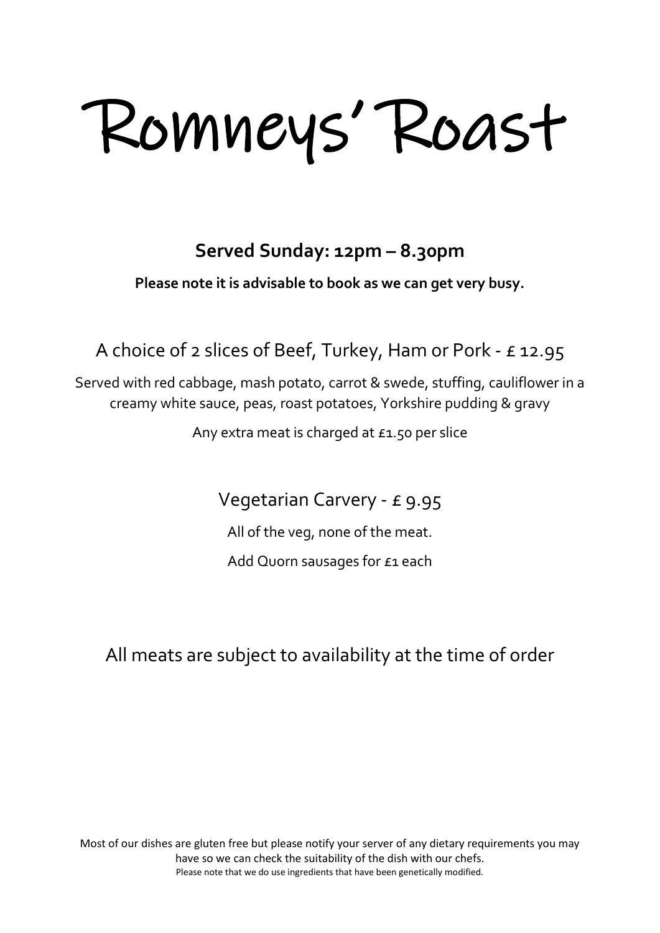Romneys' Roast

# **Served Sunday: 12pm – 8.30pm**

**Please note it is advisable to book as we can get very busy.**

A choice of 2 slices of Beef, Turkey, Ham or Pork - £ 12.95

Served with red cabbage, mash potato, carrot & swede, stuffing, cauliflower in a creamy white sauce, peas, roast potatoes, Yorkshire pudding & gravy

Any extra meat is charged at £1.50 per slice

Vegetarian Carvery - £ 9.95

All of the veg, none of the meat.

Add Quorn sausages for £1 each

All meats are subject to availability at the time of order